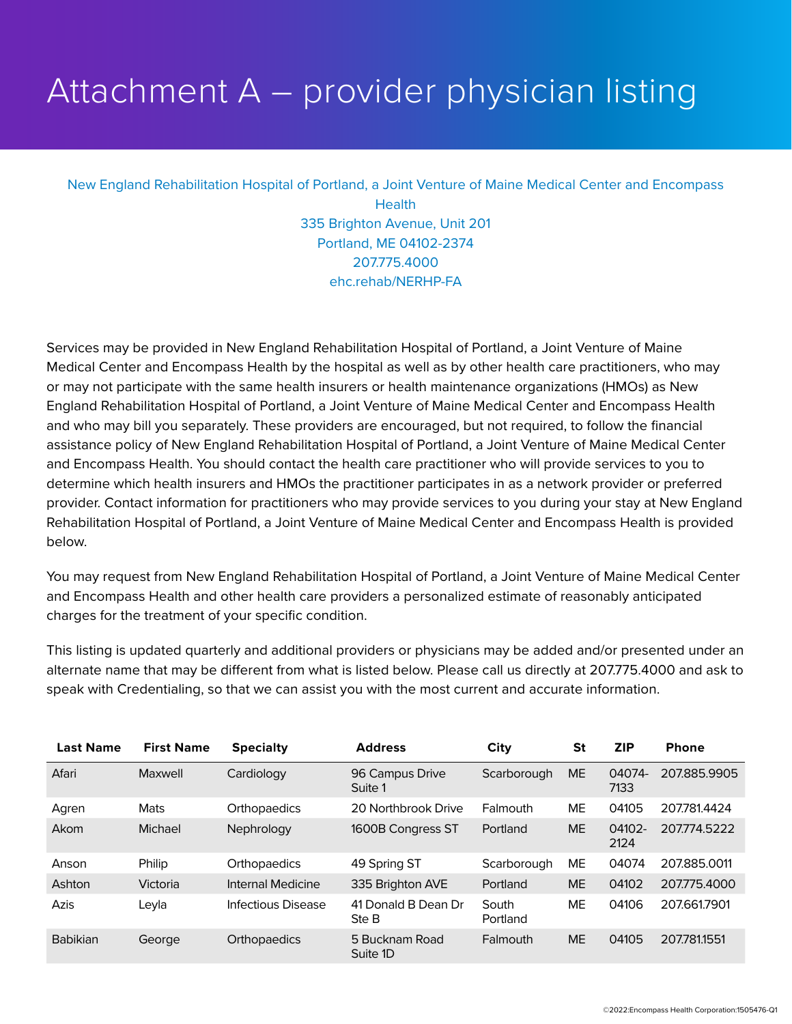## Attachment A – provider physician listing

## New England Rehabilitation Hospital of Portland, a Joint Venture of Maine Medical Center and Encompass **Health** 335 Brighton Avenue, Unit 201 Portland, ME 04102-2374 207.775.4000 ehc.rehab/NERHP-FA

Services may be provided in New England Rehabilitation Hospital of Portland, a Joint Venture of Maine Medical Center and Encompass Health by the hospital as well as by other health care practitioners, who may or may not participate with the same health insurers or health maintenance organizations (HMOs) as New England Rehabilitation Hospital of Portland, a Joint Venture of Maine Medical Center and Encompass Health and who may bill you separately. These providers are encouraged, but not required, to follow the financial assistance policy of New England Rehabilitation Hospital of Portland, a Joint Venture of Maine Medical Center and Encompass Health. You should contact the health care practitioner who will provide services to you to determine which health insurers and HMOs the practitioner participates in as a network provider or preferred provider. Contact information for practitioners who may provide services to you during your stay at New England Rehabilitation Hospital of Portland, a Joint Venture of Maine Medical Center and Encompass Health is provided below.

You may request from New England Rehabilitation Hospital of Portland, a Joint Venture of Maine Medical Center and Encompass Health and other health care providers a personalized estimate of reasonably anticipated charges for the treatment of your specific condition.

This listing is updated quarterly and additional providers or physicians may be added and/or presented under an alternate name that may be different from what is listed below. Please call us directly at 207.775.4000 and ask to speak with Credentialing, so that we can assist you with the most current and accurate information.

| <b>Last Name</b> | <b>First Name</b> | <b>Specialty</b>   | <b>Address</b>               | City              | <b>St</b> | <b>ZIP</b>     | <b>Phone</b> |
|------------------|-------------------|--------------------|------------------------------|-------------------|-----------|----------------|--------------|
| Afari            | Maxwell           | Cardiology         | 96 Campus Drive<br>Suite 1   | Scarborough       | <b>ME</b> | 04074-<br>7133 | 207.885.9905 |
| Agren            | Mats              | Orthopaedics       | 20 Northbrook Drive          | Falmouth          | <b>ME</b> | 04105          | 207.781.4424 |
| Akom             | Michael           | Nephrology         | 1600B Congress ST            | Portland          | <b>ME</b> | 04102-<br>2124 | 207.774.5222 |
| Anson            | Philip            | Orthopaedics       | 49 Spring ST                 | Scarborough       | ME        | 04074          | 207.885.0011 |
| Ashton           | Victoria          | Internal Medicine  | 335 Brighton AVE             | Portland          | <b>ME</b> | 04102          | 207.775.4000 |
| Azis             | Leyla             | Infectious Disease | 41 Donald B Dean Dr<br>Ste B | South<br>Portland | <b>ME</b> | 04106          | 207.661.7901 |
| <b>Babikian</b>  | George            | Orthopaedics       | 5 Bucknam Road<br>Suite 1D   | Falmouth          | <b>ME</b> | 04105          | 207.781.1551 |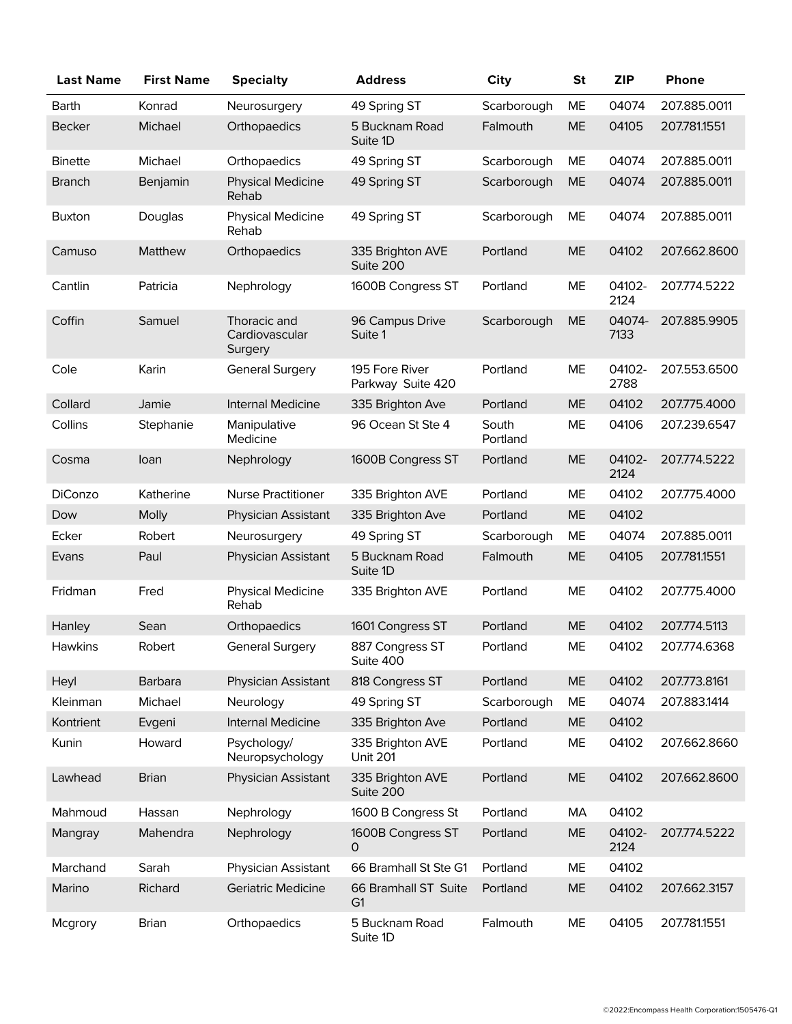| <b>Last Name</b> | <b>First Name</b> | <b>Specialty</b>                          | <b>Address</b>                         | <b>City</b>       | <b>St</b> | <b>ZIP</b>     | Phone        |
|------------------|-------------------|-------------------------------------------|----------------------------------------|-------------------|-----------|----------------|--------------|
| Barth            | Konrad            | Neurosurgery                              | 49 Spring ST                           | Scarborough       | ME        | 04074          | 207.885.0011 |
| <b>Becker</b>    | Michael           | Orthopaedics                              | 5 Bucknam Road<br>Suite 1D             | Falmouth          | <b>ME</b> | 04105          | 207.781.1551 |
| <b>Binette</b>   | Michael           | Orthopaedics                              | 49 Spring ST                           | Scarborough       | ME        | 04074          | 207.885.0011 |
| Branch           | Benjamin          | <b>Physical Medicine</b><br>Rehab         | 49 Spring ST                           | Scarborough       | ME        | 04074          | 207.885.0011 |
| Buxton           | Douglas           | <b>Physical Medicine</b><br>Rehab         | 49 Spring ST                           | Scarborough       | ME        | 04074          | 207.885.0011 |
| Camuso           | <b>Matthew</b>    | Orthopaedics                              | 335 Brighton AVE<br>Suite 200          | Portland          | <b>ME</b> | 04102          | 207.662.8600 |
| Cantlin          | Patricia          | Nephrology                                | 1600B Congress ST                      | Portland          | ME        | 04102-<br>2124 | 207.774.5222 |
| Coffin           | Samuel            | Thoracic and<br>Cardiovascular<br>Surgery | 96 Campus Drive<br>Suite 1             | Scarborough       | <b>ME</b> | 04074-<br>7133 | 207.885.9905 |
| Cole             | Karin             | <b>General Surgery</b>                    | 195 Fore River<br>Parkway Suite 420    | Portland          | <b>ME</b> | 04102-<br>2788 | 207.553.6500 |
| Collard          | Jamie             | <b>Internal Medicine</b>                  | 335 Brighton Ave                       | Portland          | ME        | 04102          | 207.775.4000 |
| Collins          | Stephanie         | Manipulative<br>Medicine                  | 96 Ocean St Ste 4                      | South<br>Portland | ME        | 04106          | 207.239.6547 |
| Cosma            | loan              | Nephrology                                | 1600B Congress ST                      | Portland          | ME        | 04102-<br>2124 | 207.774.5222 |
| DiConzo          | Katherine         | <b>Nurse Practitioner</b>                 | 335 Brighton AVE                       | Portland          | ME        | 04102          | 207.775.4000 |
| Dow              | Molly             | Physician Assistant                       | 335 Brighton Ave                       | Portland          | ME        | 04102          |              |
| Ecker            | Robert            | Neurosurgery                              | 49 Spring ST                           | Scarborough       | ME        | 04074          | 207.885.0011 |
| Evans            | Paul              | Physician Assistant                       | 5 Bucknam Road<br>Suite 1D             | Falmouth          | <b>ME</b> | 04105          | 207.781.1551 |
| Fridman          | Fred              | <b>Physical Medicine</b><br>Rehab         | 335 Brighton AVE                       | Portland          | ME        | 04102          | 207.775.4000 |
| Hanley           | Sean              | Orthopaedics                              | 1601 Congress ST                       | Portland          | <b>ME</b> | 04102          | 207.774.5113 |
| Hawkins          | Robert            | <b>General Surgery</b>                    | 887 Congress ST<br>Suite 400           | Portland          | ME        | 04102          | 207.774.6368 |
| Heyl             | Barbara           | <b>Physician Assistant</b>                | 818 Congress ST                        | Portland          | <b>ME</b> | 04102          | 207.773.8161 |
| Kleinman         | Michael           | Neurology                                 | 49 Spring ST                           | Scarborough       | ME        | 04074          | 207.883.1414 |
| Kontrient        | Evgeni            | <b>Internal Medicine</b>                  | 335 Brighton Ave                       | Portland          | <b>ME</b> | 04102          |              |
| Kunin            | Howard            | Psychology/<br>Neuropsychology            | 335 Brighton AVE<br><b>Unit 201</b>    | Portland          | ME        | 04102          | 207.662.8660 |
| Lawhead          | <b>Brian</b>      | Physician Assistant                       | 335 Brighton AVE<br>Suite 200          | Portland          | ME        | 04102          | 207.662.8600 |
| Mahmoud          | Hassan            | Nephrology                                | 1600 B Congress St                     | Portland          | МA        | 04102          |              |
| Mangray          | Mahendra          | Nephrology                                | 1600B Congress ST<br>0                 | Portland          | <b>ME</b> | 04102-<br>2124 | 207.774.5222 |
| Marchand         | Sarah             | Physician Assistant                       | 66 Bramhall St Ste G1                  | Portland          | ME        | 04102          |              |
| Marino           | Richard           | <b>Geriatric Medicine</b>                 | 66 Bramhall ST Suite<br>G <sub>1</sub> | Portland          | ME        | 04102          | 207.662.3157 |
| Mcgrory          | <b>Brian</b>      | Orthopaedics                              | 5 Bucknam Road<br>Suite 1D             | Falmouth          | ME        | 04105          | 207.781.1551 |